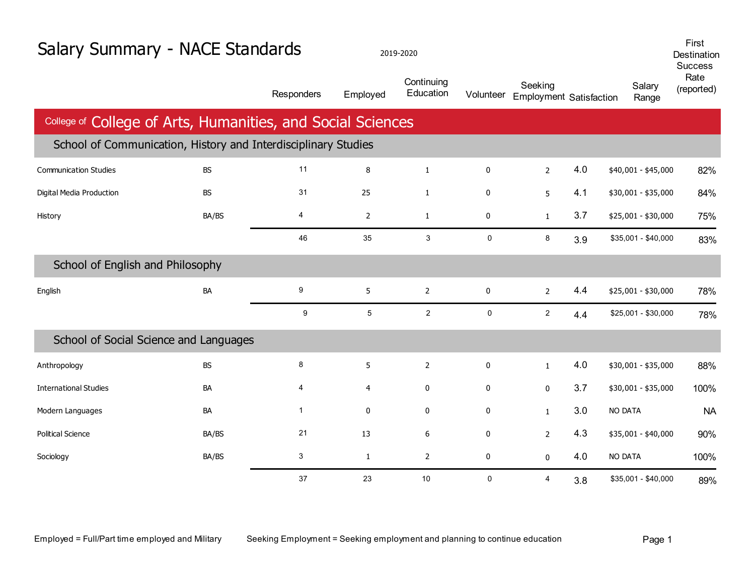|                                                                | First<br>Salary Summary - NACE Standards<br>2019-2020<br>Destination<br>Success |              |                |                         |             |                                           |     |                     |                    |
|----------------------------------------------------------------|---------------------------------------------------------------------------------|--------------|----------------|-------------------------|-------------|-------------------------------------------|-----|---------------------|--------------------|
|                                                                |                                                                                 | Responders   | Employed       | Continuing<br>Education | Volunteer   | Seeking<br><b>Employment Satisfaction</b> |     | Salary<br>Range     | Rate<br>(reported) |
| College of College of Arts, Humanities, and Social Sciences    |                                                                                 |              |                |                         |             |                                           |     |                     |                    |
| School of Communication, History and Interdisciplinary Studies |                                                                                 |              |                |                         |             |                                           |     |                     |                    |
| <b>Communication Studies</b>                                   | <b>BS</b>                                                                       | 11           | 8              | $\mathbf{1}$            | $\mathbf 0$ | $\overline{2}$                            | 4.0 | \$40,001 - \$45,000 | 82%                |
| Digital Media Production                                       | <b>BS</b>                                                                       | 31           | 25             | $\mathbf{1}$            | $\pmb{0}$   | 5                                         | 4.1 | \$30,001 - \$35,000 | 84%                |
| History                                                        | BA/BS                                                                           | 4            | $\overline{2}$ | $\mathbf{1}$            | $\pmb{0}$   | $\mathbf{1}$                              | 3.7 | \$25,001 - \$30,000 | 75%                |
|                                                                |                                                                                 | 46           | 35             | 3                       | $\mathbf 0$ | 8                                         | 3.9 | \$35,001 - \$40,000 | 83%                |
| School of English and Philosophy                               |                                                                                 |              |                |                         |             |                                           |     |                     |                    |
| English                                                        | BA                                                                              | 9            | 5              | $\overline{2}$          | 0           | $\overline{2}$                            | 4.4 | \$25,001 - \$30,000 | 78%                |
|                                                                |                                                                                 | 9            | 5              | $\overline{2}$          | $\pmb{0}$   | $\overline{2}$                            | 4.4 | \$25,001 - \$30,000 | 78%                |
| School of Social Science and Languages                         |                                                                                 |              |                |                         |             |                                           |     |                     |                    |
| Anthropology                                                   | <b>BS</b>                                                                       | 8            | 5              | $\overline{2}$          | $\mathbf 0$ | $\mathbf{1}$                              | 4.0 | \$30,001 - \$35,000 | 88%                |
| <b>International Studies</b>                                   | BA                                                                              | 4            | 4              | 0                       | 0           | $\mathbf 0$                               | 3.7 | \$30,001 - \$35,000 | 100%               |
| Modern Languages                                               | BA                                                                              | $\mathbf{1}$ | 0              | $\mathbf 0$             | $\mathbf 0$ | $\mathbf{1}$                              | 3.0 | NO DATA             | <b>NA</b>          |
| <b>Political Science</b>                                       | BA/BS                                                                           | 21           | 13             | 6                       | 0           | $\overline{2}$                            | 4.3 | \$35,001 - \$40,000 | 90%                |
| Sociology                                                      | BA/BS                                                                           | 3            | $\mathbf{1}$   | $\overline{2}$          | 0           | $\mathbf 0$                               | 4.0 | NO DATA             | 100%               |
|                                                                |                                                                                 | 37           | 23             | $10$                    | $\pmb{0}$   | 4                                         | 3.8 | \$35,001 - \$40,000 | 89%                |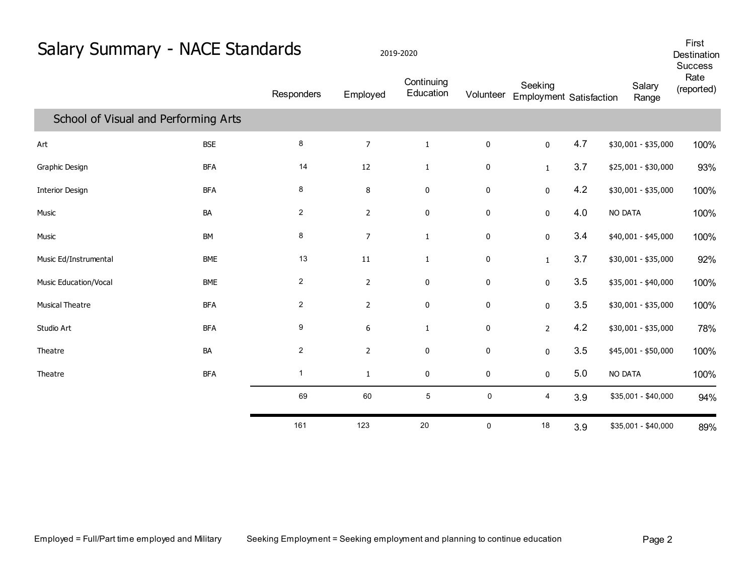| Salary Summary - NACE Standards      |            | 2019-2020      |                  |                         |             |                                           |     |                     |                    |
|--------------------------------------|------------|----------------|------------------|-------------------------|-------------|-------------------------------------------|-----|---------------------|--------------------|
|                                      |            | Responders     | Employed         | Continuing<br>Education | Volunteer   | Seeking<br><b>Employment Satisfaction</b> |     | Salary<br>Range     | Rate<br>(reported) |
| School of Visual and Performing Arts |            |                |                  |                         |             |                                           |     |                     |                    |
| Art                                  | <b>BSE</b> | 8              | $\overline{7}$   | $\mathbf{1}$            | $\bf{0}$    | $\mathbf 0$                               | 4.7 | \$30,001 - \$35,000 | 100%               |
| Graphic Design                       | <b>BFA</b> | 14             | 12               | $\mathbf{1}$            | 0           | $\mathbf{1}$                              | 3.7 | \$25,001 - \$30,000 | 93%                |
| <b>Interior Design</b>               | <b>BFA</b> | 8              | 8                | 0                       | $\pmb{0}$   | $\mathbf 0$                               | 4.2 | \$30,001 - \$35,000 | 100%               |
| Music                                | BA         | $\overline{2}$ | $\overline{2}$   | 0                       | $\mathbf 0$ | $\mathbf{0}$                              | 4.0 | NO DATA             | 100%               |
| Music                                | BM         | $\bf 8$        | $\boldsymbol{7}$ | $\mathbf{1}$            | $\pmb{0}$   | $\mathbf 0$                               | 3.4 | \$40,001 - \$45,000 | 100%               |
| Music Ed/Instrumental                | <b>BME</b> | 13             | 11               | $\mathbf{1}$            | $\pmb{0}$   | $\mathbf{1}$                              | 3.7 | \$30,001 - \$35,000 | 92%                |
| Music Education/Vocal                | <b>BME</b> | $\overline{2}$ | $\overline{2}$   | $\mathbf 0$             | $\bf{0}$    | 0                                         | 3.5 | \$35,001 - \$40,000 | 100%               |
| <b>Musical Theatre</b>               | <b>BFA</b> | $\overline{2}$ | $\overline{2}$   | $\mathbf 0$             | 0           | 0                                         | 3.5 | \$30,001 - \$35,000 | 100%               |
| Studio Art                           | <b>BFA</b> | 9              | 6                | $\mathbf{1}$            | $\mathbf 0$ | $\overline{2}$                            | 4.2 | \$30,001 - \$35,000 | 78%                |
| Theatre                              | BA         | $\overline{c}$ | $\overline{2}$   | 0                       | 0           | $\mathbf{0}$                              | 3.5 | \$45,001 - \$50,000 | 100%               |
| Theatre                              | <b>BFA</b> | $\mathbf{1}$   | $\mathbf{1}$     | 0                       | 0           | 0                                         | 5.0 | NO DATA             | 100%               |
|                                      |            | 69             | 60               | 5                       | $\pmb{0}$   | 4                                         | 3.9 | \$35,001 - \$40,000 | 94%                |
|                                      |            | 161            | 123              | $20\,$                  | 0           | 18                                        | 3.9 | \$35,001 - \$40,000 | 89%                |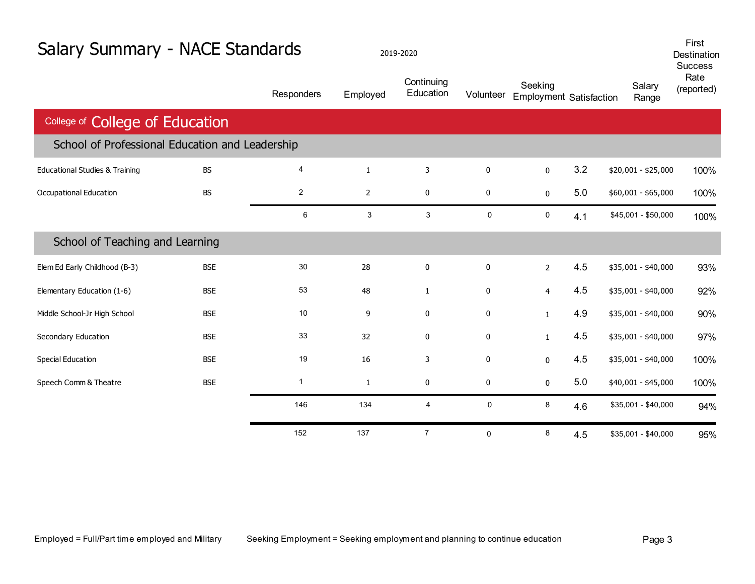| Salary Summary - NACE Standards                 |            | 2019-2020      |                |                         |             |                                           |     |  |                     |                                      |
|-------------------------------------------------|------------|----------------|----------------|-------------------------|-------------|-------------------------------------------|-----|--|---------------------|--------------------------------------|
|                                                 |            | Responders     | Employed       | Continuing<br>Education | Volunteer   | Seeking<br><b>Employment Satisfaction</b> |     |  | Salary<br>Range     | <b>Success</b><br>Rate<br>(reported) |
| College of College of Education                 |            |                |                |                         |             |                                           |     |  |                     |                                      |
| School of Professional Education and Leadership |            |                |                |                         |             |                                           |     |  |                     |                                      |
| <b>Educational Studies &amp; Training</b>       | <b>BS</b>  | $\overline{4}$ | $\mathbf{1}$   | 3                       | $\mathbf 0$ | $\mathbf 0$                               | 3.2 |  | \$20,001 - \$25,000 | 100%                                 |
| Occupational Education                          | <b>BS</b>  | $\overline{2}$ | $\overline{2}$ | 0                       | 0           | $\mathbf 0$                               | 5.0 |  | $$60,001 - $65,000$ | 100%                                 |
|                                                 |            | 6              | $\mathsf 3$    | 3                       | 0           | 0                                         | 4.1 |  | \$45,001 - \$50,000 | 100%                                 |
| School of Teaching and Learning                 |            |                |                |                         |             |                                           |     |  |                     |                                      |
| Elem Ed Early Childhood (B-3)                   | <b>BSE</b> | 30             | 28             | $\mathbf 0$             | 0           | $2^{\circ}$                               | 4.5 |  | \$35,001 - \$40,000 | 93%                                  |
| Elementary Education (1-6)                      | <b>BSE</b> | 53             | 48             | $\mathbf{1}$            | $\mathbf 0$ | $\overline{4}$                            | 4.5 |  | \$35,001 - \$40,000 | 92%                                  |
| Middle School-Jr High School                    | <b>BSE</b> | 10             | 9              | $\mathbf{0}$            | $\mathbf 0$ | $\mathbf{1}$                              | 4.9 |  | \$35,001 - \$40,000 | 90%                                  |
| Secondary Education                             | <b>BSE</b> | 33             | 32             | 0                       | $\mathbf 0$ | $\mathbf{1}$                              | 4.5 |  | \$35,001 - \$40,000 | 97%                                  |
| Special Education                               | <b>BSE</b> | 19             | 16             | 3                       | 0           | $\mathbf 0$                               | 4.5 |  | \$35,001 - \$40,000 | 100%                                 |
| Speech Comm & Theatre                           | <b>BSE</b> | $\mathbf{1}$   | $\mathbf{1}$   | 0                       | $\pmb{0}$   | $\mathbf 0$                               | 5.0 |  | \$40,001 - \$45,000 | 100%                                 |
|                                                 |            | 146            | 134            | 4                       | 0           | 8                                         | 4.6 |  | \$35,001 - \$40,000 | 94%                                  |
|                                                 |            | 152            | 137            | $\overline{7}$          | 0           | 8                                         | 4.5 |  | \$35,001 - \$40,000 | 95%                                  |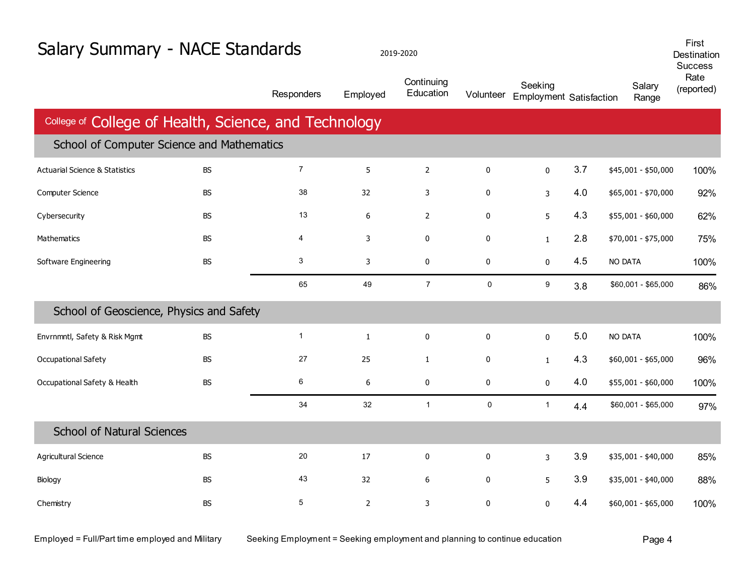| Salary Summary - NACE Standards                       |           | 2019-2020      |                |                         |             |                                           |     |                     |                    |
|-------------------------------------------------------|-----------|----------------|----------------|-------------------------|-------------|-------------------------------------------|-----|---------------------|--------------------|
|                                                       |           | Responders     | Employed       | Continuing<br>Education | Volunteer   | Seeking<br><b>Employment Satisfaction</b> |     | Salary<br>Range     | Rate<br>(reported) |
| College of College of Health, Science, and Technology |           |                |                |                         |             |                                           |     |                     |                    |
| School of Computer Science and Mathematics            |           |                |                |                         |             |                                           |     |                     |                    |
| <b>Actuarial Science &amp; Statistics</b>             | <b>BS</b> | $\overline{7}$ | 5              | $2^{\circ}$             | $\mathbf 0$ | $\overline{0}$                            | 3.7 | \$45,001 - \$50,000 | 100%               |
| Computer Science                                      | <b>BS</b> | 38             | 32             | 3                       | $\mathbf 0$ | 3                                         | 4.0 | \$65,001 - \$70,000 | 92%                |
| Cybersecurity                                         | <b>BS</b> | 13             | 6              | $\overline{2}$          | 0           | 5                                         | 4.3 | \$55,001 - \$60,000 | 62%                |
| <b>Mathematics</b>                                    | <b>BS</b> | 4              | 3              | $\mathbf 0$             | $\mathbf 0$ | $\mathbf{1}$                              | 2.8 | \$70,001 - \$75,000 | 75%                |
| Software Engineering                                  | <b>BS</b> | 3              | $\mathsf{3}$   | 0                       | $\pmb{0}$   | $\mathbf 0$                               | 4.5 | <b>NO DATA</b>      | 100%               |
|                                                       |           | 65             | 49             | $\overline{7}$          | $\mathbf 0$ | 9                                         | 3.8 | \$60,001 - \$65,000 | 86%                |
| School of Geoscience, Physics and Safety              |           |                |                |                         |             |                                           |     |                     |                    |
| Envrnmntl, Safety & Risk Mgmt                         | <b>BS</b> | $\mathbf{1}$   | $\mathbf{1}$   | $\mathbf 0$             | $\pmb{0}$   | $\overline{0}$                            | 5.0 | <b>NO DATA</b>      | 100%               |
| Occupational Safety                                   | <b>BS</b> | 27             | 25             | $\mathbf{1}$            | $\bf{0}$    | $\mathbf{1}$                              | 4.3 | \$60,001 - \$65,000 | 96%                |
| Occupational Safety & Health                          | <b>BS</b> | 6              | $6\,$          | $\pmb{0}$               | 0           | $\mathbf 0$                               | 4.0 | \$55,001 - \$60,000 | 100%               |
|                                                       |           | 34             | 32             | $\mathbf{1}$            | $\pmb{0}$   | $\mathbf{1}$                              | 4.4 | \$60,001 - \$65,000 | 97%                |
| <b>School of Natural Sciences</b>                     |           |                |                |                         |             |                                           |     |                     |                    |
| Agricultural Science                                  | <b>BS</b> | 20             | 17             | $\mathbf 0$             | $\mathbf 0$ | $\mathbf{3}$                              | 3.9 | \$35,001 - \$40,000 | 85%                |
| Biology                                               | <b>BS</b> | 43             | 32             | 6                       | $\mathbf 0$ | 5                                         | 3.9 | \$35,001 - \$40,000 | 88%                |
| Chemistry                                             | <b>BS</b> | 5              | $\overline{2}$ | 3                       | $\mathbf 0$ | $\mathbf 0$                               | 4.4 | \$60,001 - \$65,000 | 100%               |

Employed = Full/Part time employed and Military Seeking Employment = Seeking employment and planning to continue education Page 4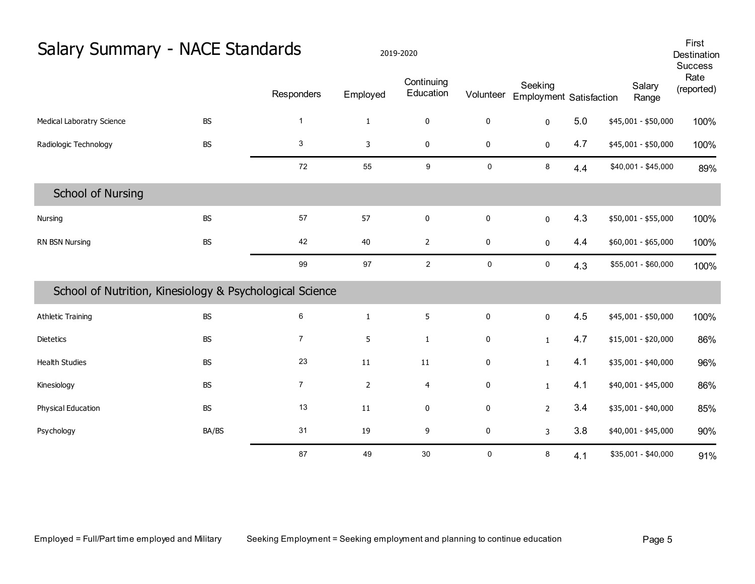|                                                          | Salary Summary - NACE Standards |                |                |                         |             |                                           |     |  |                     | First<br>Destination<br><b>Success</b> |
|----------------------------------------------------------|---------------------------------|----------------|----------------|-------------------------|-------------|-------------------------------------------|-----|--|---------------------|----------------------------------------|
|                                                          |                                 | Responders     | Employed       | Continuing<br>Education | Volunteer   | Seeking<br><b>Employment Satisfaction</b> |     |  | Salary<br>Range     | Rate<br>(reported)                     |
| Medical Laboratry Science                                | <b>BS</b>                       | $\mathbf{1}$   | $\mathbf{1}$   | $\bf{0}$                | $\pmb{0}$   | 0                                         | 5.0 |  | \$45,001 - \$50,000 | 100%                                   |
| Radiologic Technology                                    | <b>BS</b>                       | 3              | 3              | 0                       | 0           | 0                                         | 4.7 |  | \$45,001 - \$50,000 | 100%                                   |
|                                                          |                                 | 72             | 55             | 9                       | $\mathsf 0$ | 8                                         | 4.4 |  | \$40,001 - \$45,000 | 89%                                    |
| <b>School of Nursing</b>                                 |                                 |                |                |                         |             |                                           |     |  |                     |                                        |
| Nursing                                                  | <b>BS</b>                       | 57             | 57             | $\pmb{0}$               | $\pmb{0}$   | 0                                         | 4.3 |  | \$50,001 - \$55,000 | 100%                                   |
| RN BSN Nursing                                           | <b>BS</b>                       | 42             | $40\,$         | $\overline{2}$          | 0           | 0                                         | 4.4 |  | \$60,001 - \$65,000 | 100%                                   |
|                                                          |                                 | 99             | 97             | $\overline{a}$          | $\mathbf 0$ | 0                                         | 4.3 |  | \$55,001 - \$60,000 | 100%                                   |
| School of Nutrition, Kinesiology & Psychological Science |                                 |                |                |                         |             |                                           |     |  |                     |                                        |
| <b>Athletic Training</b>                                 | <b>BS</b>                       | 6              | $\mathbf{1}$   | 5                       | $\pmb{0}$   | 0                                         | 4.5 |  | \$45,001 - \$50,000 | 100%                                   |
| Dietetics                                                | <b>BS</b>                       | $\overline{7}$ | 5              | $\mathbf{1}$            | $\pmb{0}$   | $\mathbf{1}$                              | 4.7 |  | \$15,001 - \$20,000 | 86%                                    |
| <b>Health Studies</b>                                    | <b>BS</b>                       | 23             | 11             | 11                      | $\pmb{0}$   | $\mathbf{1}$                              | 4.1 |  | \$35,001 - \$40,000 | 96%                                    |
| Kinesiology                                              | BS                              | $\overline{7}$ | $\overline{2}$ | 4                       | 0           | $\mathbf{1}$                              | 4.1 |  | \$40,001 - \$45,000 | 86%                                    |
| Physical Education                                       | <b>BS</b>                       | 13             | 11             | 0                       | 0           | $\overline{2}$                            | 3.4 |  | \$35,001 - \$40,000 | 85%                                    |
| Psychology                                               | BA/BS                           | 31             | 19             | 9                       | $\pmb{0}$   | 3                                         | 3.8 |  | \$40,001 - \$45,000 | 90%                                    |
|                                                          |                                 | 87             | 49             | 30                      | 0           | 8                                         | 4.1 |  | \$35,001 - \$40,000 | 91%                                    |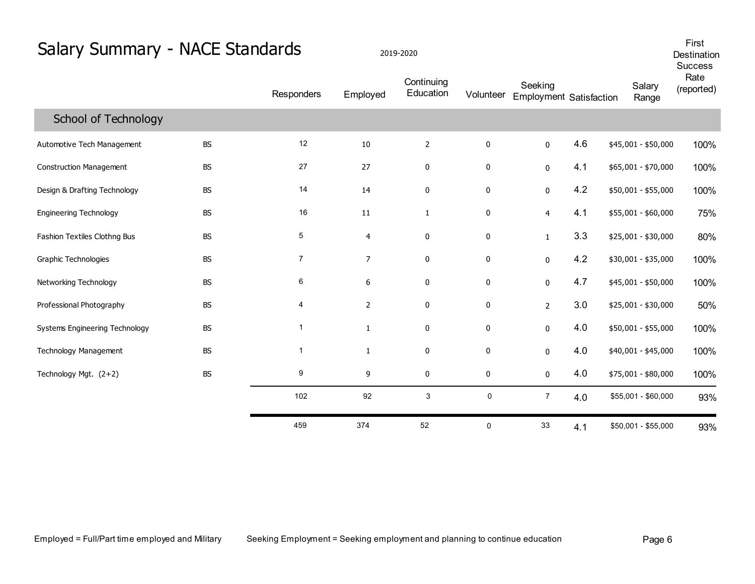| Salary Summary - NACE Standards | 2019-2020 |                   |                |                         |             |                                           |     | First<br>Destination<br><b>Success</b> |                    |
|---------------------------------|-----------|-------------------|----------------|-------------------------|-------------|-------------------------------------------|-----|----------------------------------------|--------------------|
|                                 |           | <b>Responders</b> | Employed       | Continuing<br>Education | Volunteer   | Seeking<br><b>Employment Satisfaction</b> |     | Salary<br>Range                        | Rate<br>(reported) |
| <b>School of Technology</b>     |           |                   |                |                         |             |                                           |     |                                        |                    |
| Automotive Tech Management      | <b>BS</b> | 12                | 10             | $\overline{2}$          | $\pmb{0}$   | $\mathbf 0$                               | 4.6 | \$45,001 - \$50,000                    | 100%               |
| <b>Construction Management</b>  | <b>BS</b> | 27                | 27             | $\pmb{0}$               | $\pmb{0}$   | 0                                         | 4.1 | \$65,001 - \$70,000                    | 100%               |
| Design & Drafting Technology    | <b>BS</b> | 14                | 14             | $\mathbf 0$             | $\pmb{0}$   | $\mathbf 0$                               | 4.2 | \$50,001 - \$55,000                    | 100%               |
| <b>Engineering Technology</b>   | <b>BS</b> | 16                | 11             | $\mathbf{1}$            | 0           | $\overline{4}$                            | 4.1 | \$55,001 - \$60,000                    | 75%                |
| Fashion Textiles Clothng Bus    | <b>BS</b> | 5                 | $\overline{4}$ | $\mathbf 0$             | 0           | $\mathbf{1}$                              | 3.3 | \$25,001 - \$30,000                    | 80%                |
| Graphic Technologies            | <b>BS</b> | $\overline{7}$    | $\overline{7}$ | 0                       | 0           | $\mathbf 0$                               | 4.2 | \$30,001 - \$35,000                    | 100%               |
| Networking Technology           | <b>BS</b> | 6                 | 6              | $\mathbf 0$             | 0           | $\mathbf 0$                               | 4.7 | \$45,001 - \$50,000                    | 100%               |
| Professional Photography        | <b>BS</b> | 4                 | $\overline{2}$ | $\mathbf 0$             | $\mathbf 0$ | $\overline{2}$                            | 3.0 | \$25,001 - \$30,000                    | 50%                |
| Systems Engineering Technology  | <b>BS</b> | $\mathbf{1}$      | $\mathbf{1}$   | 0                       | $\pmb{0}$   | $\mathbf 0$                               | 4.0 | \$50,001 - \$55,000                    | 100%               |
| Technology Management           | <b>BS</b> | $\mathbf{1}$      | $\mathbf{1}$   | $\mathbf 0$             | $\pmb{0}$   | $\mathbf 0$                               | 4.0 | \$40,001 - \$45,000                    | 100%               |
| Technology Mgt. (2+2)           | <b>BS</b> | 9                 | 9              | 0                       | 0           | $\mathbf 0$                               | 4.0 | \$75,001 - \$80,000                    | 100%               |
|                                 |           | 102               | 92             | 3                       | $\mathbf 0$ | $\overline{7}$                            | 4.0 | \$55,001 - \$60,000                    | 93%                |
|                                 |           | 459               | 374            | 52                      | 0           | 33                                        | 4.1 | \$50,001 - \$55,000                    | 93%                |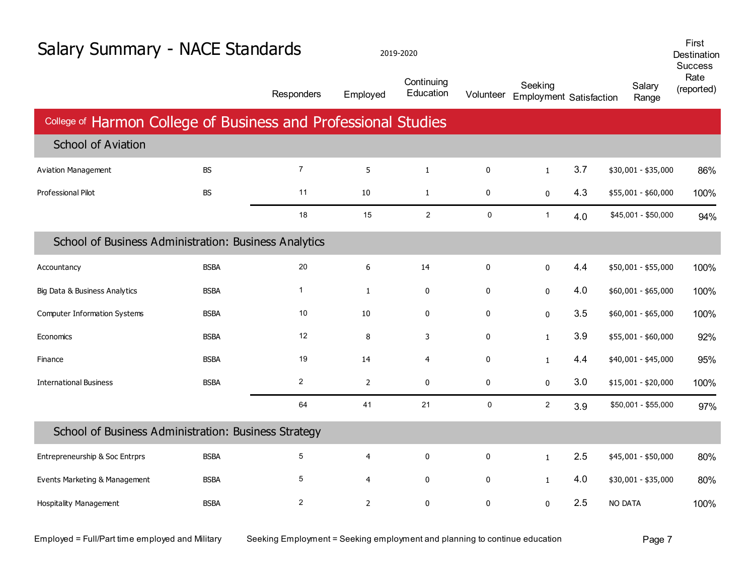| Salary Summary - NACE Standards                                |             | 2019-2020      |                |                         |             |                                           |     | First<br>Destination<br><b>Success</b> |                    |
|----------------------------------------------------------------|-------------|----------------|----------------|-------------------------|-------------|-------------------------------------------|-----|----------------------------------------|--------------------|
|                                                                |             | Responders     | Employed       | Continuing<br>Education | Volunteer   | Seeking<br><b>Employment Satisfaction</b> |     | Salary<br>Range                        | Rate<br>(reported) |
| College of Harmon College of Business and Professional Studies |             |                |                |                         |             |                                           |     |                                        |                    |
| <b>School of Aviation</b>                                      |             |                |                |                         |             |                                           |     |                                        |                    |
| <b>Aviation Management</b>                                     | <b>BS</b>   | $\overline{7}$ | 5              | $\mathbf{1}$            | $\mathbf 0$ | $\mathbf{1}$                              | 3.7 | \$30,001 - \$35,000                    | 86%                |
| <b>Professional Pilot</b>                                      | <b>BS</b>   | 11             | 10             | $\mathbf{1}$            | $\pmb{0}$   | 0                                         | 4.3 | \$55,001 - \$60,000                    | 100%               |
|                                                                |             | 18             | 15             | $\overline{2}$          | $\mathbf 0$ | $\mathbf{1}$                              | 4.0 | \$45,001 - \$50,000                    | 94%                |
| School of Business Administration: Business Analytics          |             |                |                |                         |             |                                           |     |                                        |                    |
| Accountancy                                                    | <b>BSBA</b> | 20             | 6              | 14                      | $\mathbf 0$ | $\mathbf{0}$                              | 4.4 | \$50,001 - \$55,000                    | 100%               |
| Big Data & Business Analytics                                  | <b>BSBA</b> | $\mathbf{1}$   | $\mathbf{1}$   | $\pmb{0}$               | $\mathbf 0$ | 0                                         | 4.0 | \$60,001 - \$65,000                    | 100%               |
| <b>Computer Information Systems</b>                            | <b>BSBA</b> | 10             | 10             | 0                       | 0           | $\mathbf{0}$                              | 3.5 | \$60,001 - \$65,000                    | 100%               |
| Economics                                                      | <b>BSBA</b> | 12             | 8              | 3                       | $\mathbf 0$ | $\mathbf{1}$                              | 3.9 | \$55,001 - \$60,000                    | 92%                |
| Finance                                                        | <b>BSBA</b> | 19             | 14             | $\overline{4}$          | $\mathbf 0$ | $\mathbf{1}$                              | 4.4 | \$40,001 - \$45,000                    | 95%                |
| <b>International Business</b>                                  | <b>BSBA</b> | $\overline{2}$ | $\overline{2}$ | 0                       | $\pmb{0}$   | $\mathbf 0$                               | 3.0 | $$15,001 - $20,000$                    | 100%               |
|                                                                |             | 64             | 41             | 21                      | $\mathbf 0$ | $\overline{a}$                            | 3.9 | \$50,001 - \$55,000                    | 97%                |
| School of Business Administration: Business Strategy           |             |                |                |                         |             |                                           |     |                                        |                    |
| Entrepreneurship & Soc Entrprs                                 | <b>BSBA</b> | 5              | $\overline{4}$ | $\mathbf 0$             | 0           | $\mathbf{1}$                              | 2.5 | \$45,001 - \$50,000                    | 80%                |
| Events Marketing & Management                                  | <b>BSBA</b> | 5              | $\overline{4}$ | $\mathbf 0$             | 0           | $\mathbf{1}$                              | 4.0 | \$30,001 - \$35,000                    | 80%                |
| Hospitality Management                                         | <b>BSBA</b> | $\overline{2}$ | $\overline{2}$ | $\mathbf 0$             | $\mathbf 0$ | $\mathbf{0}$                              | 2.5 | <b>NO DATA</b>                         | 100%               |

Employed = Full/Part time employed and Military Seeking Employment = Seeking employment and planning to continue education Page 7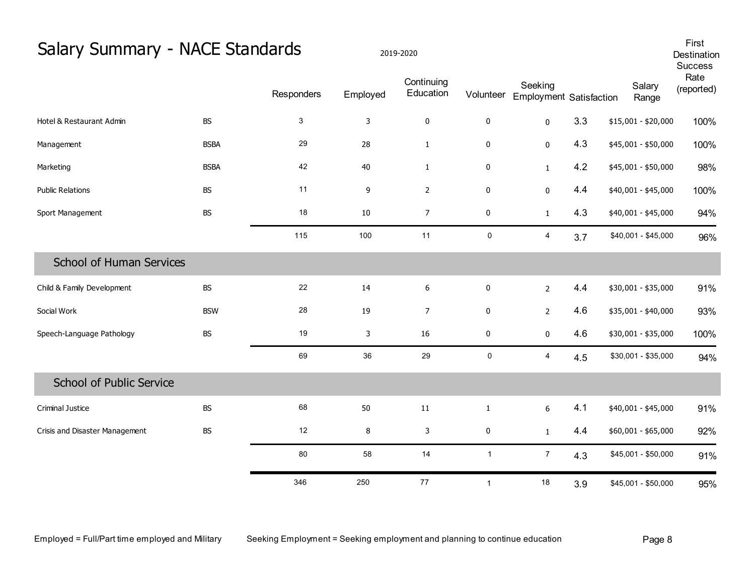| Salary Summary - NACE Standards |             |            | 2019-2020    |                         |              |                                           |     | First<br>Destination<br>Success |                    |
|---------------------------------|-------------|------------|--------------|-------------------------|--------------|-------------------------------------------|-----|---------------------------------|--------------------|
|                                 |             | Responders | Employed     | Continuing<br>Education | Volunteer    | Seeking<br><b>Employment Satisfaction</b> |     | Salary<br>Range                 | Rate<br>(reported) |
| Hotel & Restaurant Admin        | <b>BS</b>   | 3          | $\mathsf{3}$ | $\mathbf 0$             | $\pmb{0}$    | $\mathbf 0$                               | 3.3 | \$15,001 - \$20,000             | 100%               |
| Management                      | <b>BSBA</b> | 29         | 28           | $\mathbf{1}$            | $\pmb{0}$    | $\mathbf 0$                               | 4.3 | \$45,001 - \$50,000             | 100%               |
| Marketing                       | <b>BSBA</b> | 42         | 40           | $\mathbf{1}$            | $\pmb{0}$    | $\mathbf{1}$                              | 4.2 | \$45,001 - \$50,000             | 98%                |
| <b>Public Relations</b>         | <b>BS</b>   | 11         | 9            | $\overline{2}$          | $\mathbf 0$  | $\mathbf 0$                               | 4.4 | \$40,001 - \$45,000             | 100%               |
| Sport Management                | <b>BS</b>   | 18         | 10           | $\overline{7}$          | 0            | $\mathbf{1}$                              | 4.3 | \$40,001 - \$45,000             | 94%                |
|                                 |             | 115        | 100          | 11                      | $\pmb{0}$    | $\overline{\mathbf{4}}$                   | 3.7 | \$40,001 - \$45,000             | 96%                |
| <b>School of Human Services</b> |             |            |              |                         |              |                                           |     |                                 |                    |
| Child & Family Development      | <b>BS</b>   | 22         | 14           | 6                       | $\mathbf 0$  | $2^{\circ}$                               | 4.4 | \$30,001 - \$35,000             | 91%                |
| Social Work                     | <b>BSW</b>  | 28         | 19           | $\overline{7}$          | 0            | $\overline{2}$                            | 4.6 | \$35,001 - \$40,000             | 93%                |
| Speech-Language Pathology       | <b>BS</b>   | 19         | $\mathsf 3$  | 16                      | $\pmb{0}$    | 0                                         | 4.6 | \$30,001 - \$35,000             | 100%               |
|                                 |             | 69         | 36           | 29                      | $\pmb{0}$    | $\overline{4}$                            | 4.5 | \$30,001 - \$35,000             | 94%                |
| <b>School of Public Service</b> |             |            |              |                         |              |                                           |     |                                 |                    |
| Criminal Justice                | <b>BS</b>   | 68         | 50           | 11                      | $\mathbf{1}$ | 6                                         | 4.1 | \$40,001 - \$45,000             | 91%                |
| Crisis and Disaster Management  | <b>BS</b>   | 12         | 8            | 3                       | $\mathbf 0$  | $\mathbf{1}$                              | 4.4 | \$60,001 - \$65,000             | 92%                |
|                                 |             | 80         | 58           | 14                      | $\mathbf{1}$ | $\overline{7}$                            | 4.3 | \$45,001 - \$50,000             | 91%                |
|                                 |             | 346        | 250          | $77\,$                  | $\mathbf{1}$ | $18$                                      | 3.9 | \$45,001 - \$50,000             | 95%                |